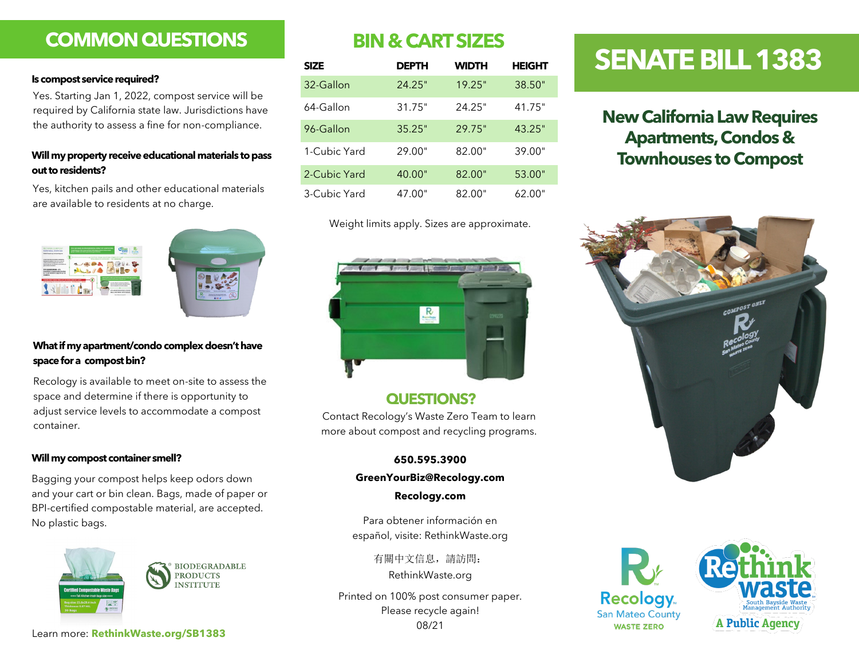# **COMMON QUESTIONS**

### **Is compost service required?**

# **out to residents?**

Yes, kitchen pails and other educational materials are available to residents at no charge.



## **What if my apartment/condo complex doesn't have space for a compost bin?**

Recology is available to meet on-site to assess the space and determine if there is opportunity to adjust service levels to accommodate a compost container.

### **Will my compost container smell?**

Bagging your compost helps keep odors down and your cart or bin clean. Bags, made of paper or BPI-certified compostable material, are accepted. No plastic bags.



**BIODEGRADABLE PRODUCTS NSTITUTE** 

# **BIN & CART SIZES**

|                                                                                                                                                                                                  | <b>SIZE</b>  | <b>DEPTH</b> | <b>WIDTH</b> | <b>HEIGHT</b> | <b>DENATE BILL 158</b>                                                                               |
|--------------------------------------------------------------------------------------------------------------------------------------------------------------------------------------------------|--------------|--------------|--------------|---------------|------------------------------------------------------------------------------------------------------|
| Is compost service required?<br>Yes. Starting Jan 1, 2022, compost service will be<br>required by California state law. Jurisdictions have<br>the authority to assess a fine for non-compliance. | 32-Gallon    | 24.25"       | 19.25"       | 38.50"        |                                                                                                      |
|                                                                                                                                                                                                  | 64-Gallon    | 31.75"       | 24.25"       | 41.75"        | <b>New California Law Require</b><br><b>Apartments, Condos &amp;</b><br><b>Townhouses to Compost</b> |
|                                                                                                                                                                                                  | 96-Gallon    | 35.25"       | 29.75"       | 43.25"        |                                                                                                      |
| Will my property receive educational materials to pass<br>out to residents?                                                                                                                      | 1-Cubic Yard | 29.00"       | 82.00"       | 39.00"        |                                                                                                      |
|                                                                                                                                                                                                  | 2-Cubic Yard | 40.00"       | 82.00"       | 53.00"        |                                                                                                      |
| Yes, kitchen pails and other educational materials<br>are quailable to residente et no eborge                                                                                                    | 3-Cubic Yard | 47.00"       | 82.00"       | 62.00"        |                                                                                                      |

Weight limits apply. Sizes are approximate.



## **QUESTIONS?**

Contact Recology's Waste Zero Team to learn more about compost and recycling programs.

## **650.595.3900**

## **GreenYourBiz@Recology.com**

### **Recology.com**

Para obtener información en español, visite: RethinkWaste.org

> 有關中文信息,請訪問: RethinkWaste.org

Printed on 100% post consumer paper. Please recycle again! 08/21

# **SENATE BILL 1383**

# **New California Law Requires Apartments, Condos &**







**A Public Agency** 

Learn more: **RethinkWaste.org/SB1383**